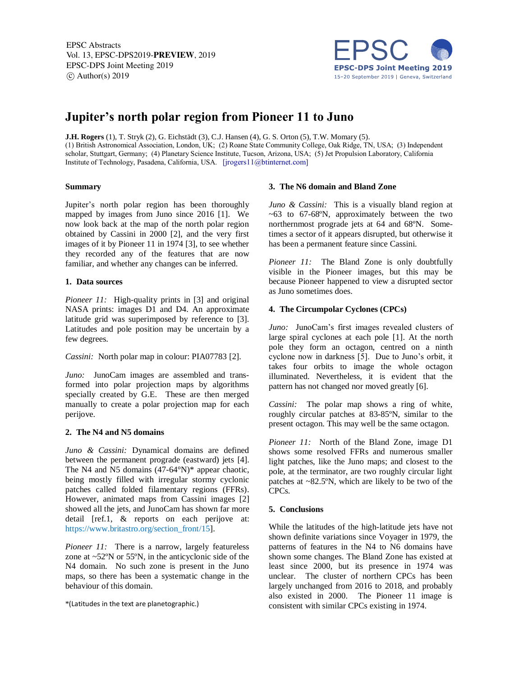EPSC Abstracts Vol. 13, EPSC-DPS2019-PREVIEW, 2019 EPSC-DPS Joint Meeting 2019  $\circ$  Author(s) 2019



# **Jupiter's north polar region from Pioneer 11 to Juno**

**J.H. Rogers** (1), T. Stryk (2), G. Eichstädt (3), C.J. Hansen (4), G. S. Orton (5), T.W. Momary (5). (1) British Astronomical Association, London, UK; (2) Roane State Community College, Oak Ridge, TN, USA; (3) Independent scholar, Stuttgart, Germany; (4) Planetary Science Institute, Tucson, Arizona, USA; (5) Jet Propulsion Laboratory, California Institute of Technology, Pasadena, California, USA. [jrogers11@btinternet.com]

## **Summary**

Jupiter's north polar region has been thoroughly mapped by images from Juno since 2016 [1]. We now look back at the map of the north polar region obtained by Cassini in 2000 [2], and the very first images of it by Pioneer 11 in 1974 [3], to see whether they recorded any of the features that are now familiar, and whether any changes can be inferred.

## **1. Data sources**

*Pioneer 11:* High-quality prints in [3] and original NASA prints: images D1 and D4. An approximate latitude grid was superimposed by reference to [3]. Latitudes and pole position may be uncertain by a few degrees.

*Cassini:* North polar map in colour: PIA07783 [2].

*Juno:* JunoCam images are assembled and transformed into polar projection maps by algorithms specially created by G.E. These are then merged manually to create a polar projection map for each perijove.

## **2. The N4 and N5 domains**

*Juno & Cassini:* Dynamical domains are defined between the permanent prograde (eastward) jets [4]. The N4 and N5 domains (47-64°N)\* appear chaotic, being mostly filled with irregular stormy cyclonic patches called folded filamentary regions (FFRs). However, animated maps from Cassini images [2] showed all the jets, and JunoCam has shown far more detail [ref.1, & reports on each perijove at: https://www.britastro.org/section\_front/15].

*Pioneer 11:* There is a narrow, largely featureless zone at ~52ºN or 55ºN, in the anticyclonic side of the N4 domain. No such zone is present in the Juno maps, so there has been a systematic change in the behaviour of this domain.

## **3. The N6 domain and Bland Zone**

*Juno & Cassini:* This is a visually bland region at  $~63$  to  $67-68$ °N, approximately between the two northernmost prograde jets at 64 and 68ºN. Sometimes a sector of it appears disrupted, but otherwise it has been a permanent feature since Cassini.

*Pioneer 11:* The Bland Zone is only doubtfully visible in the Pioneer images, but this may be because Pioneer happened to view a disrupted sector as Juno sometimes does.

## **4. The Circumpolar Cyclones (CPCs)**

*Juno:* JunoCam's first images revealed clusters of large spiral cyclones at each pole [1]. At the north pole they form an octagon, centred on a ninth cyclone now in darkness [5]. Due to Juno's orbit, it takes four orbits to image the whole octagon illuminated. Nevertheless, it is evident that the pattern has not changed nor moved greatly [6].

*Cassini:* The polar map shows a ring of white, roughly circular patches at 83-85ºN, similar to the present octagon. This may well be the same octagon.

*Pioneer 11:* North of the Bland Zone, image D1 shows some resolved FFRs and numerous smaller light patches, like the Juno maps; and closest to the pole, at the terminator, are two roughly circular light patches at ~82.5ºN, which are likely to be two of the CPCs.

## **5. Conclusions**

While the latitudes of the high-latitude jets have not shown definite variations since Voyager in 1979, the patterns of features in the N4 to N6 domains have shown some changes. The Bland Zone has existed at least since 2000, but its presence in 1974 was unclear. The cluster of northern CPCs has been largely unchanged from 2016 to 2018, and probably also existed in 2000. The Pioneer 11 image is consistent with similar CPCs existing in 1974.

<sup>\*</sup>(Latitudes in the text are planetographic.)